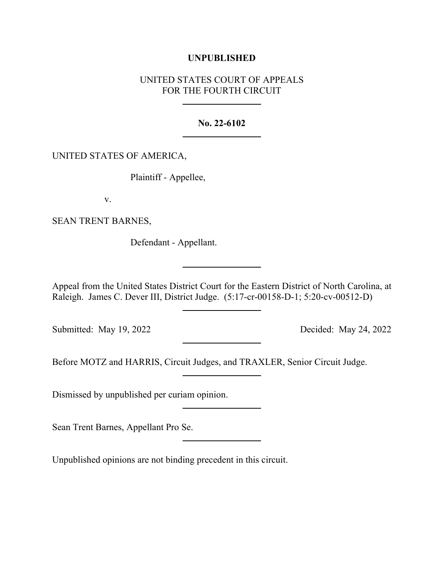## **UNPUBLISHED**

# UNITED STATES COURT OF APPEALS FOR THE FOURTH CIRCUIT

#### **No. 22-6102**

### UNITED STATES OF AMERICA,

Plaintiff - Appellee,

v.

SEAN TRENT BARNES,

Defendant - Appellant.

Appeal from the United States District Court for the Eastern District of North Carolina, at Raleigh. James C. Dever III, District Judge. (5:17-cr-00158-D-1; 5:20-cv-00512-D)

Submitted: May 19, 2022 Decided: May 24, 2022

Before MOTZ and HARRIS, Circuit Judges, and TRAXLER, Senior Circuit Judge.

Dismissed by unpublished per curiam opinion.

Sean Trent Barnes, Appellant Pro Se.

Unpublished opinions are not binding precedent in this circuit.